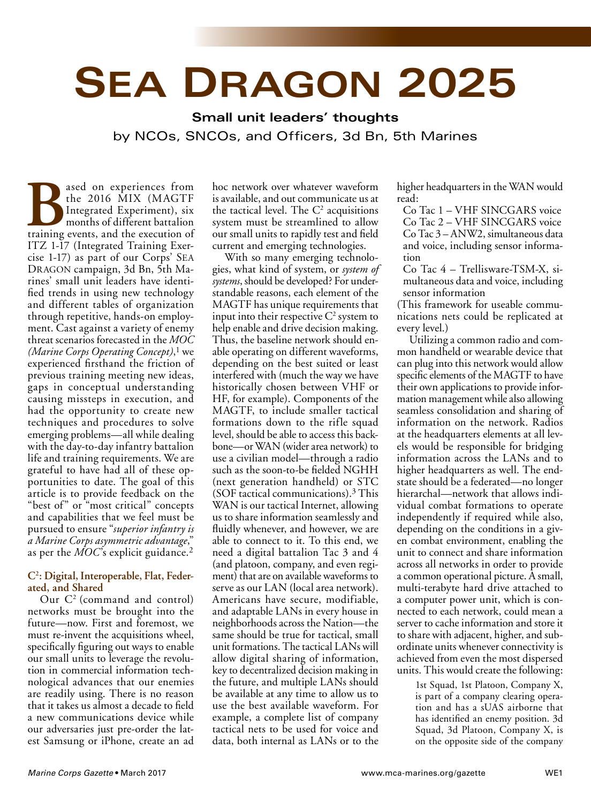# **SEA DRAGON 2025**

**Small unit leaders' thoughts** by NCOs, SNCOs, and Officers, 3d Bn, 5th Marines

**Based on experiences from the 2016 MIX (MAGTF Integrated Experiment), six months of different battalion training events, and the execution of** the 2016 MIX (MAGTF Integrated Experiment), six months of different battalion ITZ 1-17 (Integrated Training Exercise 1-17) as part of our Corps' SEA DRAGON campaign, 3d Bn, 5th Marines' small unit leaders have identified trends in using new technology and different tables of organization through repetitive, hands-on employment. Cast against a variety of enemy threat scenarios forecasted in the *MOC (Marine Corps Operating Concept)*, 1 we experienced firsthand the friction of previous training meeting new ideas, gaps in conceptual understanding causing missteps in execution, and had the opportunity to create new techniques and procedures to solve emerging problems—all while dealing with the day-to-day infantry battalion life and training requirements. We are grateful to have had all of these opportunities to date. The goal of this article is to provide feedback on the "best of" or "most critical" concepts and capabilities that we feel must be pursued to ensure "*superior infantry is a Marine Corps asymmetric advantage*," as per the *MOC*'s explicit guidance.2

### **C2 : Digital, Interoperable, Flat, Federated, and Shared**

Our C2 (command and control) networks must be brought into the future—now. First and foremost, we must re-invent the acquisitions wheel, specifically figuring out ways to enable our small units to leverage the revolution in commercial information technological advances that our enemies are readily using. There is no reason that it takes us almost a decade to field a new communications device while our adversaries just pre-order the latest Samsung or iPhone, create an ad

hoc network over whatever waveform is available, and out communicate us at the tactical level. The  $C<sup>2</sup>$  acquisitions system must be streamlined to allow our small units to rapidly test and field current and emerging technologies.

With so many emerging technologies, what kind of system, or *system of systems*, should be developed? For understandable reasons, each element of the MAGTF has unique requirements that input into their respective  $C^2$  system to help enable and drive decision making. Thus, the baseline network should enable operating on different waveforms, depending on the best suited or least interfered with (much the way we have historically chosen between VHF or HF, for example). Components of the MAGTF, to include smaller tactical formations down to the rifle squad level, should be able to access this backbone—or WAN (wider area network) to use a civilian model—through a radio such as the soon-to-be fielded NGHH (next generation handheld) or STC (SOF tactical communications).3 This WAN is our tactical Internet, allowing us to share information seamlessly and fluidly whenever, and however, we are able to connect to it. To this end, we need a digital battalion Tac 3 and 4 (and platoon, company, and even regiment) that are on available waveforms to serve as our LAN (local area network). Americans have secure, modifiable, and adaptable LANs in every house in neighborhoods across the Nation—the same should be true for tactical, small unit formations. The tactical LANs will allow digital sharing of information, key to decentralized decision making in the future, and multiple LANs should be available at any time to allow us to use the best available waveform. For example, a complete list of company tactical nets to be used for voice and data, both internal as LANs or to the

higher headquarters in the WAN would read:

Co Tac 1 – VHF SINCGARS voice Co Tac 2 – VHF SINCGARS voice Co Tac 3 – ANW2, simultaneous data and voice, including sensor information

Co Tac 4 – Trellisware-TSM-X, simultaneous data and voice, including sensor information

(This framework for useable communications nets could be replicated at every level.)

Utilizing a common radio and common handheld or wearable device that can plug into this network would allow specific elements of the MAGTF to have their own applications to provide information management while also allowing seamless consolidation and sharing of information on the network. Radios at the headquarters elements at all levels would be responsible for bridging information across the LANs and to higher headquarters as well. The endstate should be a federated—no longer hierarchal—network that allows individual combat formations to operate independently if required while also, depending on the conditions in a given combat environment, enabling the unit to connect and share information across all networks in order to provide a common operational picture. A small, multi-terabyte hard drive attached to a computer power unit, which is connected to each network, could mean a server to cache information and store it to share with adjacent, higher, and subordinate units whenever connectivity is achieved from even the most dispersed units. This would create the following:

> 1st Squad, 1st Platoon, Company X, is part of a company clearing operation and has a sUAS airborne that has identified an enemy position. 3d Squad, 3d Platoon, Company X, is on the opposite side of the company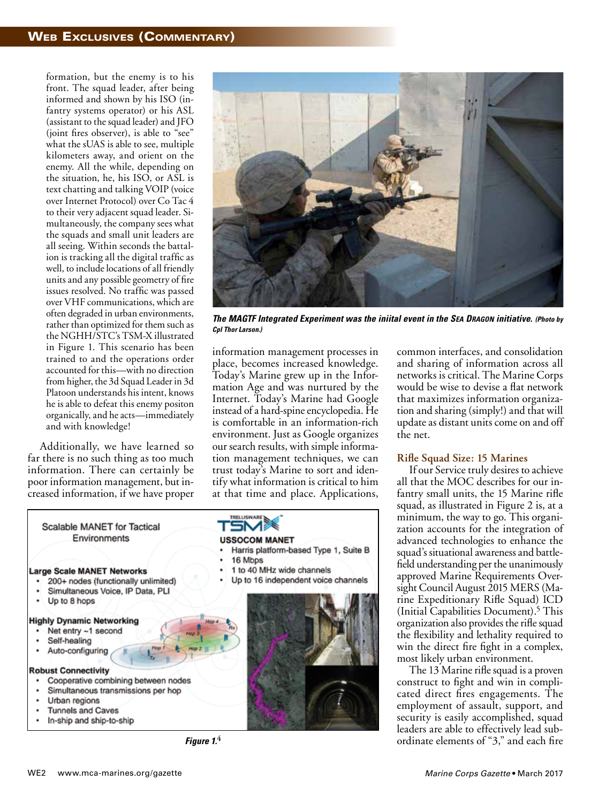formation, but the enemy is to his front. The squad leader, after being informed and shown by his ISO (infantry systems operator) or his ASL (assistant to the squad leader) and JFO (joint fires observer), is able to "see" what the sUAS is able to see, multiple kilometers away, and orient on the enemy. All the while, depending on the situation, he, his ISO, or ASL is text chatting and talking VOIP (voice over Internet Protocol) over Co Tac 4 to their very adjacent squad leader. Simultaneously, the company sees what the squads and small unit leaders are all seeing. Within seconds the battalion is tracking all the digital traffic as well, to include locations of all friendly units and any possible geometry of fire issues resolved. No traffic was passed over VHF communications, which are often degraded in urban environments, rather than optimized for them such as the NGHH/STC's TSM-X illustrated in Figure 1. This scenario has been trained to and the operations order accounted for this—with no direction from higher, the 3d Squad Leader in 3d Platoon understands his intent, knows he is able to defeat this enemy positon organically, and he acts—immediately and with knowledge!

Additionally, we have learned so far there is no such thing as too much information. There can certainly be poor information management, but increased information, if we have proper



*The MAGTF Integrated Experiment was the iniital event in the SEA DRAGON initiative. (Photo by Cpl Thor Larson.)*

information management processes in place, becomes increased knowledge. Today's Marine grew up in the Information Age and was nurtured by the Internet. Today's Marine had Google instead of a hard-spine encyclopedia. He is comfortable in an information-rich environment. Just as Google organizes our search results, with simple information management techniques, we can trust today's Marine to sort and identify what information is critical to him at that time and place. Applications,



common interfaces, and consolidation and sharing of information across all networks is critical. The Marine Corps would be wise to devise a flat network that maximizes information organization and sharing (simply!) and that will update as distant units come on and off the net.

#### **Rifle Squad Size: 15 Marines**

If our Service truly desires to achieve all that the MOC describes for our infantry small units, the 15 Marine rifle squad, as illustrated in Figure 2 is, at a minimum, the way to go. This organization accounts for the integration of advanced technologies to enhance the squad's situational awareness and battlefield understanding per the unanimously approved Marine Requirements Oversight Council August 2015 MERS (Marine Expeditionary Rifle Squad) ICD (Initial Capabilities Document).5 This organization also provides the rifle squad the flexibility and lethality required to win the direct fire fight in a complex, most likely urban environment.

The 13 Marine rifle squad is a proven construct to fight and win in complicated direct fires engagements. The employment of assault, support, and security is easily accomplished, squad leaders are able to effectively lead sub-**Figure 1. 4** ordinate elements of "3," and each fire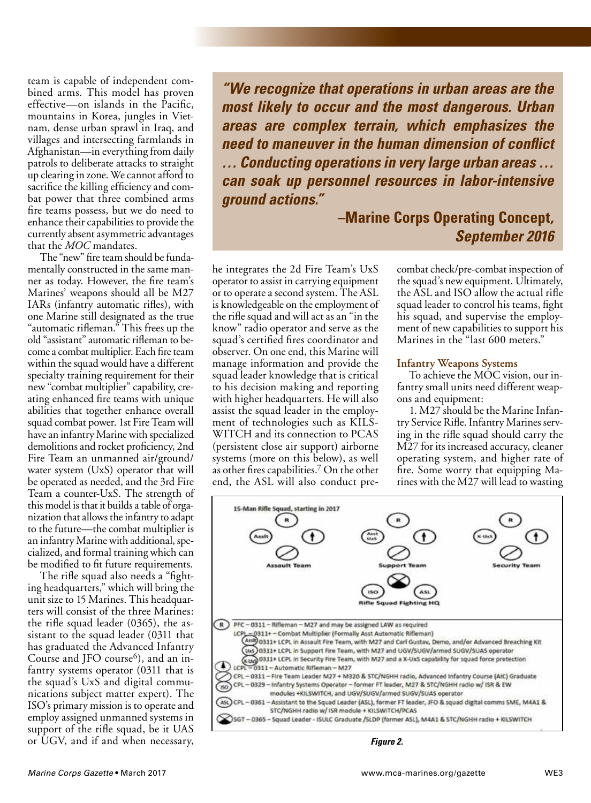team is capable of independent combined arms. This model has proven effective—on islands in the Pacific, mountains in Korea, jungles in Vietnam, dense urban sprawl in Iraq, and villages and intersecting farmlands in Afghanistan—in everything from daily patrols to deliberate attacks to straight up clearing in zone. We cannot afford to sacrifice the killing efficiency and combat power that three combined arms fire teams possess, but we do need to enhance their capabilities to provide the currently absent asymmetric advantages that the *MOC* mandates.

The "new" fire team should be fundamentally constructed in the same manner as today. However, the fire team's Marines' weapons should all be M27 IARs (infantry automatic rifles), with one Marine still designated as the true "automatic rifleman." This frees up the old "assistant" automatic rifleman to become a combat multiplier. Each fire team within the squad would have a different specialty training requirement for their new "combat multiplier" capability, creating enhanced fire teams with unique abilities that together enhance overall squad combat power. 1st Fire Team will have an infantry Marine with specialized demolitions and rocket proficiency, 2nd Fire Team an unmanned air/ground/ water system (UxS) operator that will be operated as needed, and the 3rd Fire Team a counter-UxS. The strength of this model is that it builds a table of organization that allows the infantry to adapt to the future—the combat multiplier is an infantry Marine with additional, specialized, and formal training which can be modified to fit future requirements.

The rifle squad also needs a "fighting headquarters," which will bring the unit size to 15 Marines. This headquarters will consist of the three Marines: the rifle squad leader (0365), the assistant to the squad leader (0311 that has graduated the Advanced Infantry Course and JFO course $^6$ ), and an infantry systems operator (0311 that is the squad's UxS and digital communications subject matter expert). The ISO's primary mission is to operate and employ assigned unmanned systems in support of the rifle squad, be it UAS or UGV, and if and when necessary,

*"We recognize that operations in urban areas are the most likely to occur and the most dangerous. Urban areas are complex terrain, which emphasizes the need to maneuver in the human dimension of conflict … Conducting operations in very large urban areas … can soak up personnel resources in labor-intensive ground actions."*

## *–***Marine Corps Operating Concept***, September 2016*

he integrates the 2d Fire Team's UxS operator to assist in carrying equipment or to operate a second system. The ASL is knowledgeable on the employment of the rifle squad and will act as an "in the know" radio operator and serve as the squad's certified fires coordinator and observer. On one end, this Marine will manage information and provide the squad leader knowledge that is critical to his decision making and reporting with higher headquarters. He will also assist the squad leader in the employment of technologies such as KILS-WITCH and its connection to PCAS (persistent close air support) airborne systems (more on this below), as well as other fires capabilities.7 On the other end, the ASL will also conduct precombat check/pre-combat inspection of the squad's new equipment. Ultimately, the ASL and ISO allow the actual rifle squad leader to control his teams, fight his squad, and supervise the employment of new capabilities to support his Marines in the "last 600 meters."

#### **Infantry Weapons Systems**

To achieve the MOC vision, our infantry small units need different weapons and equipment:

1. M27 should be the Marine Infantry Service Rifle. Infantry Marines serving in the rifle squad should carry the M27 for its increased accuracy, cleaner operating system, and higher rate of fire. Some worry that equipping Marines with the M27 will lead to wasting



*Figure 2.*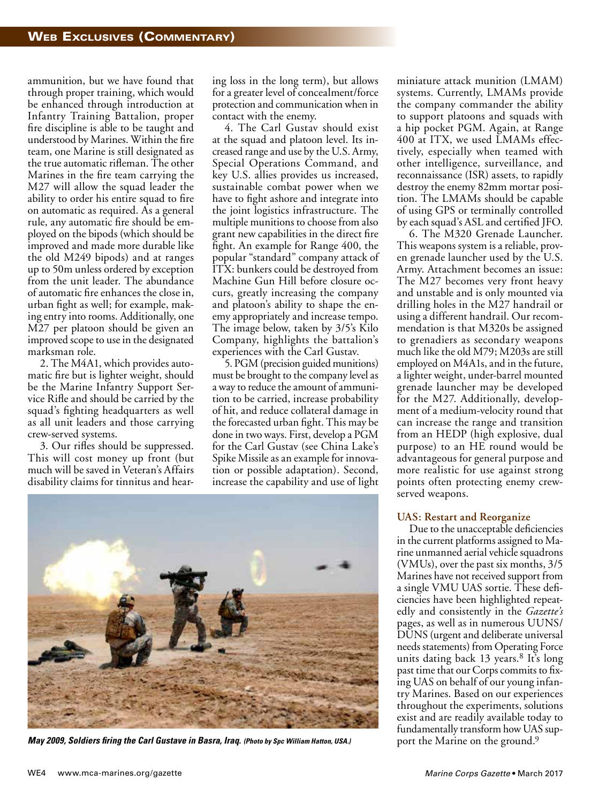ammunition, but we have found that through proper training, which would be enhanced through introduction at Infantry Training Battalion, proper fire discipline is able to be taught and understood by Marines. Within the fire team, one Marine is still designated as the true automatic rifleman. The other Marines in the fire team carrying the M27 will allow the squad leader the ability to order his entire squad to fire on automatic as required. As a general rule, any automatic fire should be employed on the bipods (which should be improved and made more durable like the old M249 bipods) and at ranges up to 50m unless ordered by exception from the unit leader. The abundance of automatic fire enhances the close in, urban fight as well; for example, making entry into rooms. Additionally, one M27 per platoon should be given an improved scope to use in the designated marksman role.

2. The M4A1, which provides automatic fire but is lighter weight, should be the Marine Infantry Support Service Rifle and should be carried by the squad's fighting headquarters as well as all unit leaders and those carrying crew-served systems.

3. Our rifles should be suppressed. This will cost money up front (but much will be saved in Veteran's Affairs disability claims for tinnitus and hearing loss in the long term), but allows for a greater level of concealment/force protection and communication when in contact with the enemy.

4. The Carl Gustav should exist at the squad and platoon level. Its increased range and use by the U.S. Army, Special Operations Command, and key U.S. allies provides us increased, sustainable combat power when we have to fight ashore and integrate into the joint logistics infrastructure. The multiple munitions to choose from also grant new capabilities in the direct fire fight. An example for Range 400, the popular "standard" company attack of ITX: bunkers could be destroyed from Machine Gun Hill before closure occurs, greatly increasing the company and platoon's ability to shape the enemy appropriately and increase tempo. The image below, taken by 3/5's Kilo Company, highlights the battalion's experiences with the Carl Gustav.

5. PGM (precision guided munitions) must be brought to the company level as a way to reduce the amount of ammunition to be carried, increase probability of hit, and reduce collateral damage in the forecasted urban fight. This may be done in two ways. First, develop a PGM for the Carl Gustav (see China Lake's Spike Missile as an example for innovation or possible adaptation). Second, increase the capability and use of light



**May 2009, Soldiers firing the Carl Gustave in Basra, Iraq.** (Photo by Spc William Hatton, USA.) *port the Marine on the ground.* 

miniature attack munition (LMAM) systems. Currently, LMAMs provide the company commander the ability to support platoons and squads with a hip pocket PGM. Again, at Range 400 at ITX, we used LMAMs effectively, especially when teamed with other intelligence, surveillance, and reconnaissance (ISR) assets, to rapidly destroy the enemy 82mm mortar position. The LMAMs should be capable of using GPS or terminally controlled by each squad's ASL and certified JFO.

6. The M320 Grenade Launcher. This weapons system is a reliable, proven grenade launcher used by the U.S. Army. Attachment becomes an issue: The M27 becomes very front heavy and unstable and is only mounted via drilling holes in the M27 handrail or using a different handrail. Our recommendation is that M320s be assigned to grenadiers as secondary weapons much like the old M79; M203s are still employed on M4A1s, and in the future, a lighter weight, under-barrel mounted grenade launcher may be developed for the M27. Additionally, development of a medium-velocity round that can increase the range and transition from an HEDP (high explosive, dual purpose) to an HE round would be advantageous for general purpose and more realistic for use against strong points often protecting enemy crewserved weapons.

#### **UAS: Restart and Reorganize**

Due to the unacceptable deficiencies in the current platforms assigned to Marine unmanned aerial vehicle squadrons (VMUs), over the past six months, 3/5 Marines have not received support from a single VMU UAS sortie. These deficiencies have been highlighted repeatedly and consistently in the *Gazette's* pages, as well as in numerous UUNS/ DUNS (urgent and deliberate universal needs statements) from Operating Force units dating back  $13$  years.<sup>8</sup> It's long past time that our Corps commits to fixing UAS on behalf of our young infantry Marines. Based on our experiences throughout the experiments, solutions exist and are readily available today to fundamentally transform how UAS sup-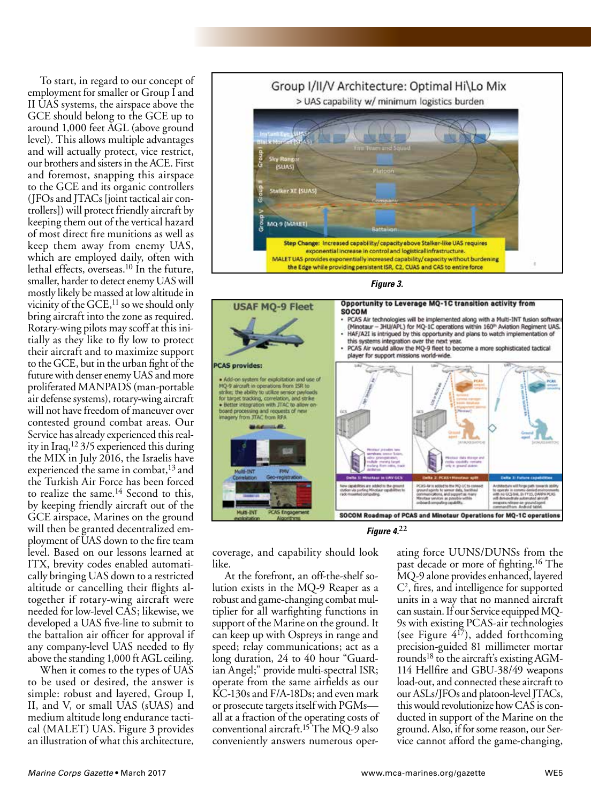To start, in regard to our concept of employment for smaller or Group I and II UAS systems, the airspace above the GCE should belong to the GCE up to around 1,000 feet AGL (above ground level). This allows multiple advantages and will actually protect, vice restrict, our brothers and sisters in the ACE. First and foremost, snapping this airspace to the GCE and its organic controllers (JFOs and JTACs [joint tactical air controllers]) will protect friendly aircraft by keeping them out of the vertical hazard of most direct fire munitions as well as keep them away from enemy UAS, which are employed daily, often with lethal effects, overseas.10 In the future, smaller, harder to detect enemy UAS will mostly likely be massed at low altitude in vicinity of the  $GCE$ ,<sup>11</sup> so we should only bring aircraft into the zone as required. Rotary-wing pilots may scoff at this initially as they like to fly low to protect their aircraft and to maximize support to the GCE, but in the urban fight of the future with denser enemy UAS and more proliferated MANPADS (man-portable air defense systems), rotary-wing aircraft will not have freedom of maneuver over contested ground combat areas. Our Service has already experienced this reality in Iraq,12 3/5 experienced this during the MIX in July 2016, the Israelis have experienced the same in combat,<sup>13</sup> and the Turkish Air Force has been forced to realize the same.<sup>14</sup> Second to this, by keeping friendly aircraft out of the GCE airspace, Marines on the ground will then be granted decentralized employment of UAS down to the fire team level. Based on our lessons learned at ITX, brevity codes enabled automatically bringing UAS down to a restricted altitude or cancelling their flights altogether if rotary-wing aircraft were needed for low-level CAS; likewise, we developed a UAS five-line to submit to the battalion air officer for approval if any company-level UAS needed to fly above the standing 1,000 ft AGL ceiling.

When it comes to the types of UAS to be used or desired, the answer is simple: robust and layered, Group I, II, and V, or small UAS (sUAS) and medium altitude long endurance tactical (MALET) UAS. Figure 3 provides an illustration of what this architecture,



*Figure 3.*





coverage, and capability should look like.

At the forefront, an off-the-shelf solution exists in the MQ-9 Reaper as a robust and game-changing combat multiplier for all warfighting functions in support of the Marine on the ground. It can keep up with Ospreys in range and speed; relay communications; act as a long duration, 24 to 40 hour "Guardian Angel;" provide multi-spectral ISR; operate from the same airfields as our KC-130s and F/A-18Ds; and even mark or prosecute targets itself with PGMs all at a fraction of the operating costs of conventional aircraft.15 The MQ-9 also conveniently answers numerous operating force UUNS/DUNSs from the past decade or more of fighting.16 The MQ-9 alone provides enhanced, layered C2 , fires, and intelligence for supported units in a way that no manned aircraft can sustain. If our Service equipped MQ-9s with existing PCAS-air technologies (see Figure  $4^{17}$ ), added forthcoming precision-guided 81 millimeter mortar rounds<sup>18</sup> to the aircraft's existing AGM-114 Hellfire and GBU-38/49 weapons load-out, and connected these aircraft to our ASLs/JFOs and platoon-level JTACs, this would revolutionize how CAS is conducted in support of the Marine on the ground. Also, if for some reason, our Service cannot afford the game-changing,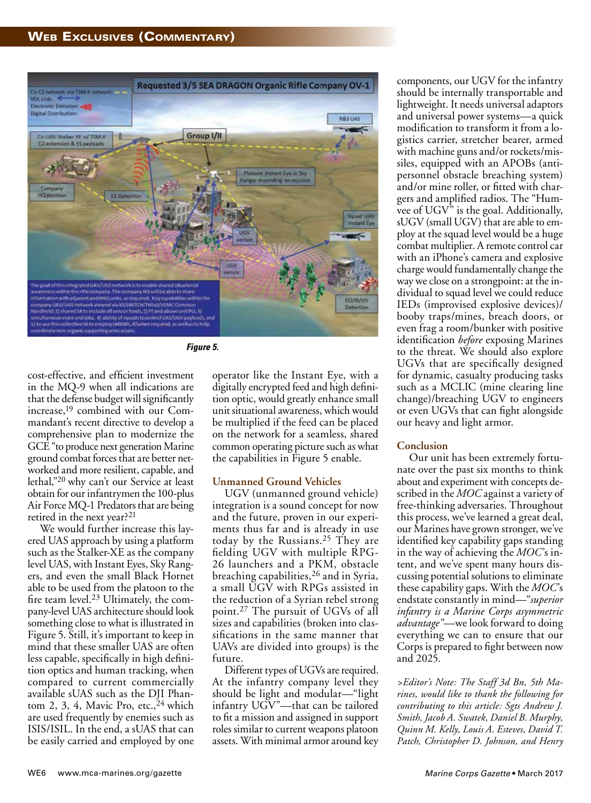

*Figure 5.*

cost-effective, and efficient investment in the MQ-9 when all indications are that the defense budget will significantly increase,19 combined with our Commandant's recent directive to develop a comprehensive plan to modernize the GCE "to produce next generation Marine ground combat forces that are better networked and more resilient, capable, and lethal,"20 why can't our Service at least obtain for our infantrymen the 100-plus Air Force MQ-1 Predators that are being retired in the next year?<sup>21</sup>

We would further increase this layered UAS approach by using a platform such as the Stalker-XE as the company level UAS, with Instant Eyes, Sky Rangers, and even the small Black Hornet able to be used from the platoon to the fire team level.23 Ultimately, the company-level UAS architecture should look something close to what is illustrated in Figure 5. Still, it's important to keep in mind that these smaller UAS are often less capable, specifically in high definition optics and human tracking, when compared to current commercially available sUAS such as the DJI Phantom 2, 3, 4, Mavic Pro, etc.,  $24$  which are used frequently by enemies such as ISIS/ISIL. In the end, a sUAS that can be easily carried and employed by one

operator like the Instant Eye, with a digitally encrypted feed and high definition optic, would greatly enhance small unit situational awareness, which would be multiplied if the feed can be placed on the network for a seamless, shared common operating picture such as what the capabilities in Figure 5 enable.

#### **Unmanned Ground Vehicles**

UGV (unmanned ground vehicle) integration is a sound concept for now and the future, proven in our experiments thus far and is already in use today by the Russians.25 They are fielding UGV with multiple RPG-26 launchers and a PKM, obstacle breaching capabilities,26 and in Syria, a small UGV with RPGs assisted in the reduction of a Syrian rebel strong point.27 The pursuit of UGVs of all sizes and capabilities (broken into classifications in the same manner that UAVs are divided into groups) is the future.

Different types of UGVs are required. At the infantry company level they should be light and modular—"light infantry UGV"—that can be tailored to fit a mission and assigned in support roles similar to current weapons platoon assets. With minimal armor around key

components, our UGV for the infantry should be internally transportable and lightweight. It needs universal adaptors and universal power systems—a quick modification to transform it from a logistics carrier, stretcher bearer, armed with machine guns and/or rockets/missiles, equipped with an APOBs (antipersonnel obstacle breaching system) and/or mine roller, or fitted with chargers and amplified radios. The "Humvee of UGV" is the goal. Additionally, sUGV (small UGV) that are able to employ at the squad level would be a huge combat multiplier. A remote control car with an iPhone's camera and explosive charge would fundamentally change the way we close on a strongpoint: at the individual to squad level we could reduce IEDs (improvised explosive devices)/ booby traps/mines, breach doors, or even frag a room/bunker with positive identification *before* exposing Marines to the threat. We should also explore UGVs that are specifically designed for dynamic, casualty producing tasks such as a MCLIC (mine clearing line change)/breaching UGV to engineers or even UGVs that can fight alongside our heavy and light armor.

### **Conclusion**

Our unit has been extremely fortunate over the past six months to think about and experiment with concepts described in the *MOC* against a variety of free-thinking adversaries. Throughout this process, we've learned a great deal, our Marines have grown stronger, we've identified key capability gaps standing in the way of achieving the *MOC*'s intent, and we've spent many hours discussing potential solutions to eliminate these capability gaps. With the *MOC*'s endstate constantly in mind—"*superior infantry is a Marine Corps asymmetric advantage"—*we look forward to doing everything we can to ensure that our Corps is prepared to fight between now and 2025.

*>Editor's Note: The Staff 3d Bn, 5th Marines, would like to thank the following for contributing to this article: Sgts Andrew J. Smith, Jacob A. Swatek, Daniel B. Murphy, Quinn M. Kelly, Louis A. Esteves, David T. Patch, Christopher D. Johnson, and Henry*